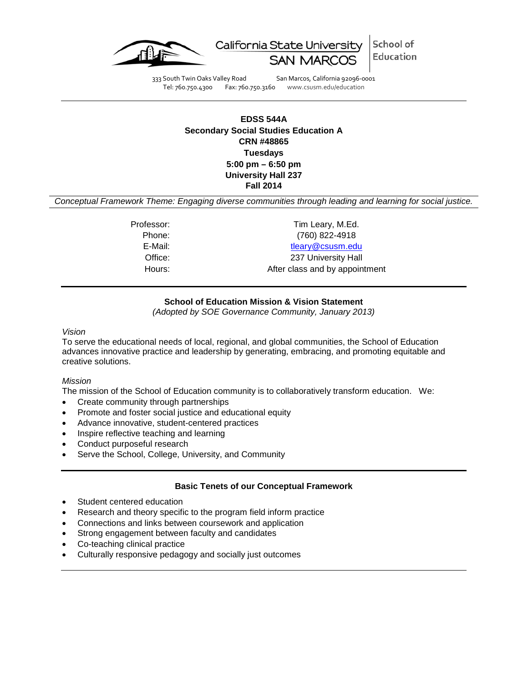

School of California State University Education

333 South Twin Oaks Valley Road San Marcos, California 92096-0001<br>Tel: 760.750.4300 Fax: 760.750.3160 www.csusm.edu/education Fax: 760.750.3160 www.csusm.edu/education

# **EDSS 544A Secondary Social Studies Education A CRN #48865 Tuesdays 5:00 pm – 6:50 pm University Hall 237 Fall 2014**

*Conceptual Framework Theme: Engaging diverse communities through leading and learning for social justice.*

Phone: (760) 822-4918

Professor: Tim Leary, M.Ed.

# E-Mail: [tleary@csusm.edu](mailto:tleary@csusm.edu)

Office: 237 University Hall Hours: Hours: After class and by appointment

# **School of Education Mission & Vision Statement**

*(Adopted by SOE Governance Community, January 2013)*

*Vision*

To serve the educational needs of local, regional, and global communities, the School of Education advances innovative practice and leadership by generating, embracing, and promoting equitable and creative solutions.

### *Mission*

The mission of the School of Education community is to collaboratively transform education. We:

- Create community through partnerships
- Promote and foster social justice and educational equity
- Advance innovative, student-centered practices
- Inspire reflective teaching and learning
- Conduct purposeful research
- Serve the School, College, University, and Community

# **Basic Tenets of our Conceptual Framework**

- Student centered education
- Research and theory specific to the program field inform practice
- Connections and links between coursework and application
- Strong engagement between faculty and candidates
- Co-teaching clinical practice
- Culturally responsive pedagogy and socially just outcomes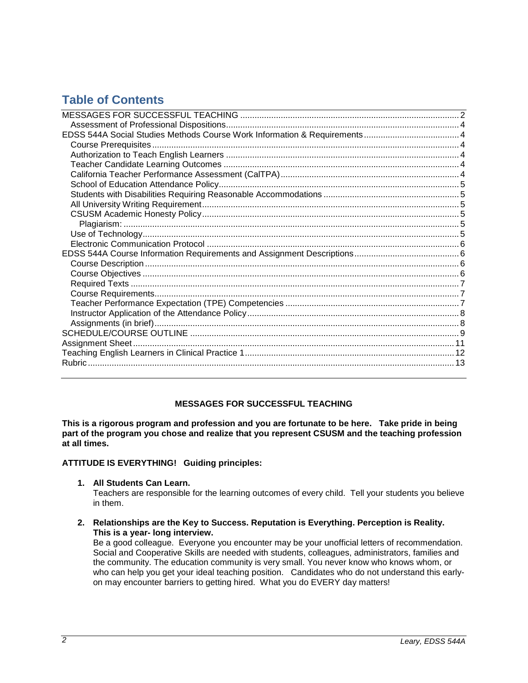# **Table of Contents**

# **MESSAGES FOR SUCCESSFUL TEACHING**

<span id="page-1-0"></span>**This is a rigorous program and profession and you are fortunate to be here. Take pride in being part of the program you chose and realize that you represent CSUSM and the teaching profession at all times.**

### **ATTITUDE IS EVERYTHING! Guiding principles:**

**1. All Students Can Learn.**

Teachers are responsible for the learning outcomes of every child. Tell your students you believe in them.

**2. Relationships are the Key to Success. Reputation is Everything. Perception is Reality. This is a year- long interview.**

Be a good colleague. Everyone you encounter may be your unofficial letters of recommendation. Social and Cooperative Skills are needed with students, colleagues, administrators, families and the community. The education community is very small. You never know who knows whom, or who can help you get your ideal teaching position. Candidates who do not understand this earlyon may encounter barriers to getting hired. What you do EVERY day matters!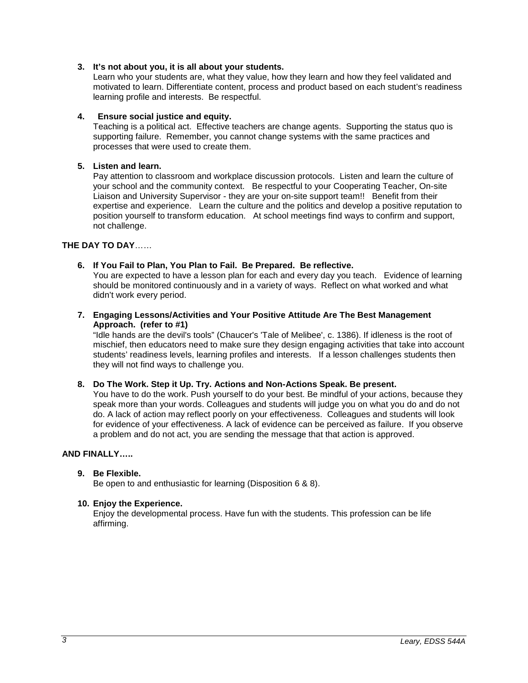### **3. It's not about you, it is all about your students.**

Learn who your students are, what they value, how they learn and how they feel validated and motivated to learn. Differentiate content, process and product based on each student's readiness learning profile and interests. Be respectful.

### **4. Ensure social justice and equity.**

Teaching is a political act. Effective teachers are change agents. Supporting the status quo is supporting failure. Remember, you cannot change systems with the same practices and processes that were used to create them.

### **5. Listen and learn.**

Pay attention to classroom and workplace discussion protocols. Listen and learn the culture of your school and the community context. Be respectful to your Cooperating Teacher, On-site Liaison and University Supervisor - they are your on-site support team!! Benefit from their expertise and experience. Learn the culture and the politics and develop a positive reputation to position yourself to transform education. At school meetings find ways to confirm and support, not challenge.

### **THE DAY TO DAY**……

### **6. If You Fail to Plan, You Plan to Fail. Be Prepared. Be reflective.**

You are expected to have a lesson plan for each and every day you teach. Evidence of learning should be monitored continuously and in a variety of ways. Reflect on what worked and what didn't work every period.

**7. Engaging Lessons/Activities and Your Positive Attitude Are The Best Management Approach. (refer to #1)**

"Idle hands are the devil's tools" (Chaucer's 'Tale of Melibee', c. 1386). If idleness is the root of mischief, then educators need to make sure they design engaging activities that take into account students' readiness levels, learning profiles and interests. If a lesson challenges students then they will not find ways to challenge you.

### **8. Do The Work. Step it Up. Try. Actions and Non-Actions Speak. Be present.**

You have to do the work. Push yourself to do your best. Be mindful of your actions, because they speak more than your words. Colleagues and students will judge you on what you do and do not do. A lack of action may reflect poorly on your effectiveness. Colleagues and students will look for evidence of your effectiveness. A lack of evidence can be perceived as failure. If you observe a problem and do not act, you are sending the message that that action is approved.

### **AND FINALLY…..**

### **9. Be Flexible.**

Be open to and enthusiastic for learning (Disposition 6 & 8).

### **10. Enjoy the Experience.**

<span id="page-2-0"></span>Enjoy the developmental process. Have fun with the students. This profession can be life affirming.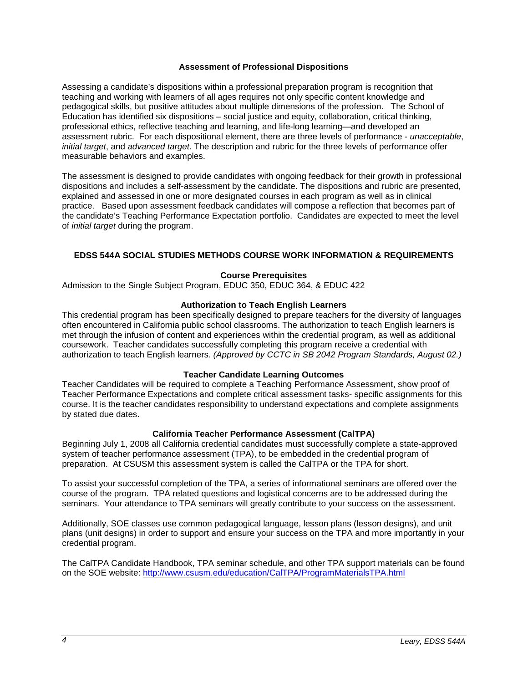### **Assessment of Professional Dispositions**

Assessing a candidate's dispositions within a professional preparation program is recognition that teaching and working with learners of all ages requires not only specific content knowledge and pedagogical skills, but positive attitudes about multiple dimensions of the profession. The School of Education has identified six dispositions – social justice and equity, collaboration, critical thinking, professional ethics, reflective teaching and learning, and life-long learning—and developed an assessment rubric. For each dispositional element, there are three levels of performance - *unacceptable*, *initial target*, and *advanced target*. The description and rubric for the three levels of performance offer measurable behaviors and examples.

The assessment is designed to provide candidates with ongoing feedback for their growth in professional dispositions and includes a self-assessment by the candidate. The dispositions and rubric are presented, explained and assessed in one or more designated courses in each program as well as in clinical practice. Based upon assessment feedback candidates will compose a reflection that becomes part of the candidate's Teaching Performance Expectation portfolio. Candidates are expected to meet the level of *initial target* during the program.

# <span id="page-3-0"></span>**EDSS 544A SOCIAL STUDIES METHODS COURSE WORK INFORMATION & REQUIREMENTS**

### **Course Prerequisites**

<span id="page-3-1"></span>Admission to the Single Subject Program, EDUC 350, EDUC 364, & EDUC 422

### **Authorization to Teach English Learners**

<span id="page-3-2"></span>This credential program has been specifically designed to prepare teachers for the diversity of languages often encountered in California public school classrooms. The authorization to teach English learners is met through the infusion of content and experiences within the credential program, as well as additional coursework. Teacher candidates successfully completing this program receive a credential with authorization to teach English learners. *(Approved by CCTC in SB 2042 Program Standards, August 02.)*

### **Teacher Candidate Learning Outcomes**

<span id="page-3-3"></span>Teacher Candidates will be required to complete a Teaching Performance Assessment, show proof of Teacher Performance Expectations and complete critical assessment tasks- specific assignments for this course. It is the teacher candidates responsibility to understand expectations and complete assignments by stated due dates.

# **California Teacher Performance Assessment (CalTPA)**

<span id="page-3-4"></span>Beginning July 1, 2008 all California credential candidates must successfully complete a state-approved system of teacher performance assessment (TPA), to be embedded in the credential program of preparation. At CSUSM this assessment system is called the CalTPA or the TPA for short.

To assist your successful completion of the TPA, a series of informational seminars are offered over the course of the program. TPA related questions and logistical concerns are to be addressed during the seminars. Your attendance to TPA seminars will greatly contribute to your success on the assessment.

Additionally, SOE classes use common pedagogical language, lesson plans (lesson designs), and unit plans (unit designs) in order to support and ensure your success on the TPA and more importantly in your credential program.

The CalTPA Candidate Handbook, TPA seminar schedule, and other TPA support materials can be found on the SOE website:<http://www.csusm.edu/education/CalTPA/ProgramMaterialsTPA.html>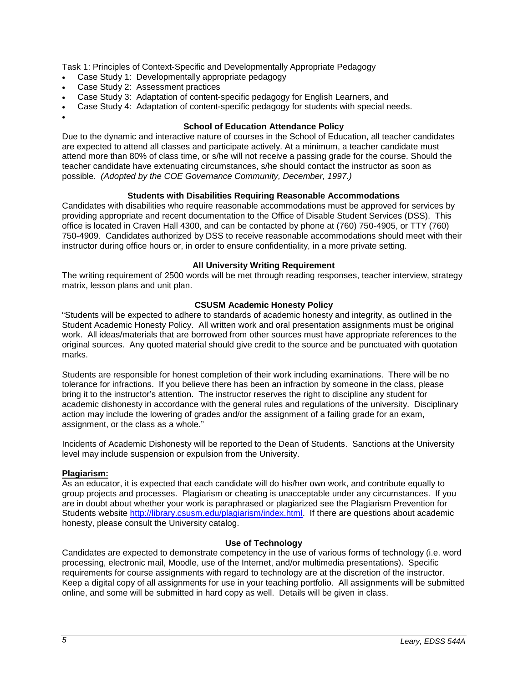Task 1: Principles of Context-Specific and Developmentally Appropriate Pedagogy

- Case Study 1: Developmentally appropriate pedagogy
- Case Study 2: Assessment practices

<span id="page-4-0"></span>•

- Case Study 3: Adaptation of content-specific pedagogy for English Learners, and
- Case Study 4: Adaptation of content-specific pedagogy for students with special needs.

# **School of Education Attendance Policy**

Due to the dynamic and interactive nature of courses in the School of Education, all teacher candidates are expected to attend all classes and participate actively. At a minimum, a teacher candidate must attend more than 80% of class time, or s/he will not receive a passing grade for the course. Should the teacher candidate have extenuating circumstances, s/he should contact the instructor as soon as possible. *(Adopted by the COE Governance Community, December, 1997.)*

# **Students with Disabilities Requiring Reasonable Accommodations**

<span id="page-4-1"></span>Candidates with disabilities who require reasonable accommodations must be approved for services by providing appropriate and recent documentation to the Office of Disable Student Services (DSS). This office is located in Craven Hall 4300, and can be contacted by phone at (760) 750-4905, or TTY (760) 750-4909. Candidates authorized by DSS to receive reasonable accommodations should meet with their instructor during office hours or, in order to ensure confidentiality, in a more private setting.

# **All University Writing Requirement**

<span id="page-4-2"></span>The writing requirement of 2500 words will be met through reading responses, teacher interview, strategy matrix, lesson plans and unit plan.

# **CSUSM Academic Honesty Policy**

<span id="page-4-3"></span>"Students will be expected to adhere to standards of academic honesty and integrity, as outlined in the Student Academic Honesty Policy. All written work and oral presentation assignments must be original work. All ideas/materials that are borrowed from other sources must have appropriate references to the original sources. Any quoted material should give credit to the source and be punctuated with quotation marks.

Students are responsible for honest completion of their work including examinations. There will be no tolerance for infractions. If you believe there has been an infraction by someone in the class, please bring it to the instructor's attention. The instructor reserves the right to discipline any student for academic dishonesty in accordance with the general rules and regulations of the university. Disciplinary action may include the lowering of grades and/or the assignment of a failing grade for an exam, assignment, or the class as a whole."

Incidents of Academic Dishonesty will be reported to the Dean of Students. Sanctions at the University level may include suspension or expulsion from the University.

# <span id="page-4-4"></span>**Plagiarism:**

As an educator, it is expected that each candidate will do his/her own work, and contribute equally to group projects and processes. Plagiarism or cheating is unacceptable under any circumstances. If you are in doubt about whether your work is paraphrased or plagiarized see the Plagiarism Prevention for Students website [http://library.csusm.edu/plagiarism/index.html.](http://library.csusm.edu/plagiarism/index.html) If there are questions about academic honesty, please consult the University catalog.

# **Use of Technology**

<span id="page-4-5"></span>Candidates are expected to demonstrate competency in the use of various forms of technology (i.e. word processing, electronic mail, Moodle, use of the Internet, and/or multimedia presentations). Specific requirements for course assignments with regard to technology are at the discretion of the instructor. Keep a digital copy of all assignments for use in your teaching portfolio. All assignments will be submitted online, and some will be submitted in hard copy as well. Details will be given in class.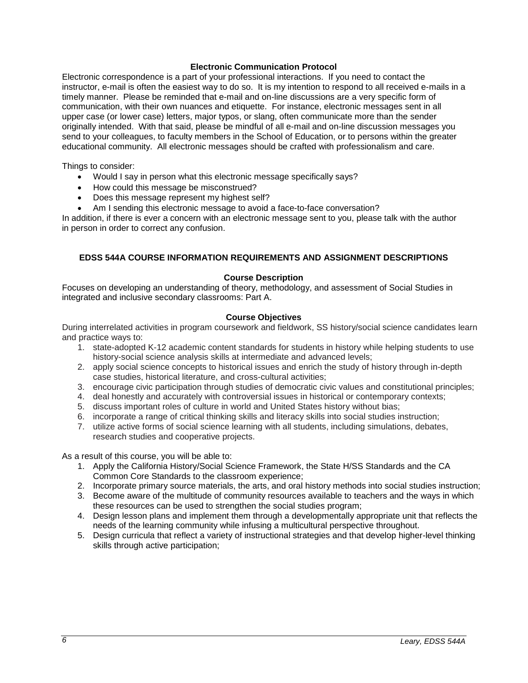### **Electronic Communication Protocol**

<span id="page-5-0"></span>Electronic correspondence is a part of your professional interactions. If you need to contact the instructor, e-mail is often the easiest way to do so. It is my intention to respond to all received e-mails in a timely manner. Please be reminded that e-mail and on-line discussions are a very specific form of communication, with their own nuances and etiquette. For instance, electronic messages sent in all upper case (or lower case) letters, major typos, or slang, often communicate more than the sender originally intended. With that said, please be mindful of all e-mail and on-line discussion messages you send to your colleagues, to faculty members in the School of Education, or to persons within the greater educational community. All electronic messages should be crafted with professionalism and care.

Things to consider:

- Would I say in person what this electronic message specifically says?
- How could this message be misconstrued?
- Does this message represent my highest self?
- Am I sending this electronic message to avoid a face-to-face conversation?

In addition, if there is ever a concern with an electronic message sent to you, please talk with the author in person in order to correct any confusion.

### <span id="page-5-1"></span>**EDSS 544A COURSE INFORMATION REQUIREMENTS AND ASSIGNMENT DESCRIPTIONS**

### **Course Description**

<span id="page-5-2"></span>Focuses on developing an understanding of theory, methodology, and assessment of Social Studies in integrated and inclusive secondary classrooms: Part A.

### **Course Objectives**

<span id="page-5-3"></span>During interrelated activities in program coursework and fieldwork, SS history/social science candidates learn and practice ways to:

- 1. state-adopted K-12 academic content standards for students in history while helping students to use history-social science analysis skills at intermediate and advanced levels;
- 2. apply social science concepts to historical issues and enrich the study of history through in-depth case studies, historical literature, and cross-cultural activities;
- 3. encourage civic participation through studies of democratic civic values and constitutional principles;
- 4. deal honestly and accurately with controversial issues in historical or contemporary contexts;
- 5. discuss important roles of culture in world and United States history without bias;
- 6. incorporate a range of critical thinking skills and literacy skills into social studies instruction;
- 7. utilize active forms of social science learning with all students, including simulations, debates, research studies and cooperative projects.

As a result of this course, you will be able to:

- 1. Apply the California History/Social Science Framework, the State H/SS Standards and the CA Common Core Standards to the classroom experience;
- 2. Incorporate primary source materials, the arts, and oral history methods into social studies instruction;
- 3. Become aware of the multitude of community resources available to teachers and the ways in which these resources can be used to strengthen the social studies program;
- 4. Design lesson plans and implement them through a developmentally appropriate unit that reflects the needs of the learning community while infusing a multicultural perspective throughout.
- <span id="page-5-4"></span>5. Design curricula that reflect a variety of instructional strategies and that develop higher-level thinking skills through active participation;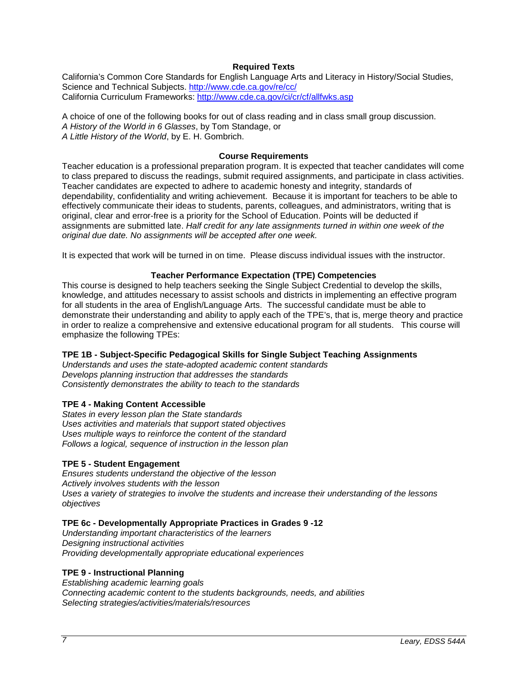# **Required Texts**

California's Common Core Standards for English Language Arts and Literacy in History/Social Studies, Science and Technical Subjects.<http://www.cde.ca.gov/re/cc/> California Curriculum Frameworks[: http://www.cde.ca.gov/ci/cr/cf/allfwks.asp](http://www.cde.ca.gov/ci/cr/cf/allfwks.asp)

A choice of one of the following books for out of class reading and in class small group discussion. *A History of the World in 6 Glasses*, by Tom Standage, or *A Little History of the World*, by E. H. Gombrich.

#### **Course Requirements**

<span id="page-6-0"></span>Teacher education is a professional preparation program. It is expected that teacher candidates will come to class prepared to discuss the readings, submit required assignments, and participate in class activities. Teacher candidates are expected to adhere to academic honesty and integrity, standards of dependability, confidentiality and writing achievement. Because it is important for teachers to be able to effectively communicate their ideas to students, parents, colleagues, and administrators, writing that is original, clear and error-free is a priority for the School of Education. Points will be deducted if assignments are submitted late. *Half credit for any late assignments turned in within one week of the original due date. No assignments will be accepted after one week.*

It is expected that work will be turned in on time. Please discuss individual issues with the instructor.

### **Teacher Performance Expectation (TPE) Competencies**

<span id="page-6-1"></span>This course is designed to help teachers seeking the Single Subject Credential to develop the skills, knowledge, and attitudes necessary to assist schools and districts in implementing an effective program for all students in the area of English/Language Arts. The successful candidate must be able to demonstrate their understanding and ability to apply each of the TPE's, that is, merge theory and practice in order to realize a comprehensive and extensive educational program for all students. This course will emphasize the following TPEs:

### **TPE 1B - Subject-Specific Pedagogical Skills for Single Subject Teaching Assignments**

*Understands and uses the state-adopted academic content standards Develops planning instruction that addresses the standards Consistently demonstrates the ability to teach to the standards*

### **TPE 4 - Making Content Accessible**

*States in every lesson plan the State standards Uses activities and materials that support stated objectives Uses multiple ways to reinforce the content of the standard Follows a logical, sequence of instruction in the lesson plan*

### **TPE 5 - Student Engagement**

*Ensures students understand the objective of the lesson Actively involves students with the lesson Uses a variety of strategies to involve the students and increase their understanding of the lessons objectives*

### **TPE 6c - Developmentally Appropriate Practices in Grades 9 -12**

*Understanding important characteristics of the learners Designing instructional activities Providing developmentally appropriate educational experiences*

### **TPE 9 - Instructional Planning**

*Establishing academic learning goals Connecting academic content to the students backgrounds, needs, and abilities Selecting strategies/activities/materials/resources*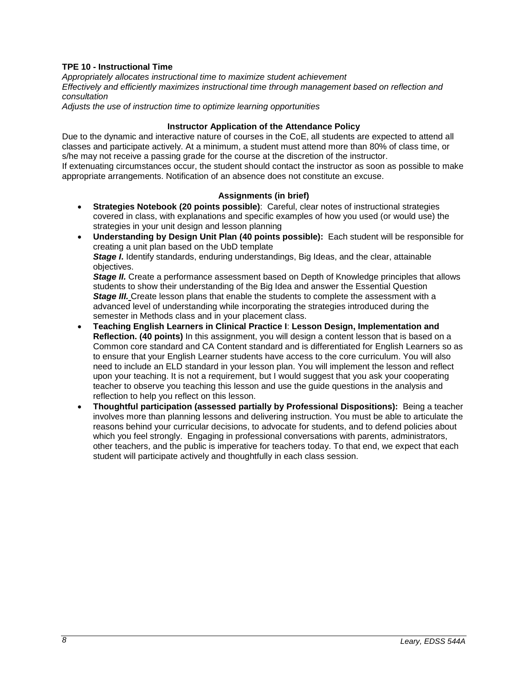# **TPE 10 - Instructional Time**

*Appropriately allocates instructional time to maximize student achievement Effectively and efficiently maximizes instructional time through management based on reflection and consultation*

*Adjusts the use of instruction time to optimize learning opportunities*

### **Instructor Application of the Attendance Policy**

<span id="page-7-0"></span>Due to the dynamic and interactive nature of courses in the CoE, all students are expected to attend all classes and participate actively. At a minimum, a student must attend more than 80% of class time, or s/he may not receive a passing grade for the course at the discretion of the instructor.

If extenuating circumstances occur, the student should contact the instructor as soon as possible to make appropriate arrangements. Notification of an absence does not constitute an excuse.

### **Assignments (in brief)**

- <span id="page-7-1"></span>• **Strategies Notebook (20 points possible)**: Careful, clear notes of instructional strategies covered in class, with explanations and specific examples of how you used (or would use) the strategies in your unit design and lesson planning
- **Understanding by Design Unit Plan (40 points possible):** Each student will be responsible for creating a unit plan based on the UbD template **Stage I.** Identify standards, enduring understandings, Big Ideas, and the clear, attainable objectives.

**Stage II.** Create a performance assessment based on Depth of Knowledge principles that allows students to show their understanding of the Big Idea and answer the Essential Question *Stage III.* Create lesson plans that enable the students to complete the assessment with a advanced level of understanding while incorporating the strategies introduced during the semester in Methods class and in your placement class.

- **Teaching English Learners in Clinical Practice I**: **Lesson Design, Implementation and Reflection. (40 points)** In this assignment, you will design a content lesson that is based on a Common core standard and CA Content standard and is differentiated for English Learners so as to ensure that your English Learner students have access to the core curriculum. You will also need to include an ELD standard in your lesson plan. You will implement the lesson and reflect upon your teaching. It is not a requirement, but I would suggest that you ask your cooperating teacher to observe you teaching this lesson and use the guide questions in the analysis and reflection to help you reflect on this lesson.
- **Thoughtful participation (assessed partially by Professional Dispositions):** Being a teacher involves more than planning lessons and delivering instruction. You must be able to articulate the reasons behind your curricular decisions, to advocate for students, and to defend policies about which you feel strongly. Engaging in professional conversations with parents, administrators, other teachers, and the public is imperative for teachers today. To that end, we expect that each student will participate actively and thoughtfully in each class session.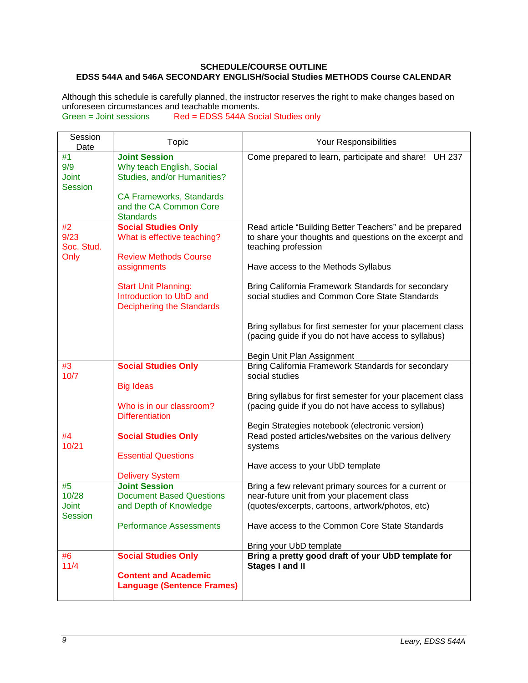# <span id="page-8-0"></span>**SCHEDULE/COURSE OUTLINE EDSS 544A and 546A SECONDARY ENGLISH/Social Studies METHODS Course CALENDAR**

Although this schedule is carefully planned, the instructor reserves the right to make changes based on unforeseen circumstances and teachable moments.<br>Green = Joint sessions Red = EDSS 544A Soc

Red = EDSS 544A Social Studies only

| Session<br>Date                             | <b>Topic</b>                                                                                                                                                      | Your Responsibilities                                                                                                                                                                                                      |  |  |
|---------------------------------------------|-------------------------------------------------------------------------------------------------------------------------------------------------------------------|----------------------------------------------------------------------------------------------------------------------------------------------------------------------------------------------------------------------------|--|--|
| #1<br>9/9<br><b>Joint</b><br><b>Session</b> | <b>Joint Session</b><br>Why teach English, Social<br>Studies, and/or Humanities?<br><b>CA Frameworks, Standards</b><br>and the CA Common Core<br><b>Standards</b> | Come prepared to learn, participate and share! UH 237                                                                                                                                                                      |  |  |
| #2<br>9/23<br>Soc. Stud.<br>Only            | <b>Social Studies Only</b><br>What is effective teaching?<br><b>Review Methods Course</b><br>assignments                                                          | Read article "Building Better Teachers" and be prepared<br>to share your thoughts and questions on the excerpt and<br>teaching profession<br>Have access to the Methods Syllabus                                           |  |  |
|                                             | <b>Start Unit Planning:</b><br>Introduction to UbD and<br><b>Deciphering the Standards</b>                                                                        | Bring California Framework Standards for secondary<br>social studies and Common Core State Standards<br>Bring syllabus for first semester for your placement class<br>(pacing guide if you do not have access to syllabus) |  |  |
| #3                                          | <b>Social Studies Only</b>                                                                                                                                        | Begin Unit Plan Assignment<br>Bring California Framework Standards for secondary                                                                                                                                           |  |  |
| 10/7                                        | <b>Big Ideas</b><br>Who is in our classroom?<br><b>Differentiation</b>                                                                                            | social studies<br>Bring syllabus for first semester for your placement class<br>(pacing guide if you do not have access to syllabus)<br>Begin Strategies notebook (electronic version)                                     |  |  |
| #4<br>10/21                                 | <b>Social Studies Only</b>                                                                                                                                        | Read posted articles/websites on the various delivery                                                                                                                                                                      |  |  |
|                                             | <b>Essential Questions</b><br><b>Delivery System</b>                                                                                                              | systems<br>Have access to your UbD template                                                                                                                                                                                |  |  |
| #5<br>10/28                                 | <b>Joint Session</b><br><b>Document Based Questions</b>                                                                                                           | Bring a few relevant primary sources for a current or<br>near-future unit from your placement class                                                                                                                        |  |  |
| Joint                                       | and Depth of Knowledge                                                                                                                                            | (quotes/excerpts, cartoons, artwork/photos, etc)                                                                                                                                                                           |  |  |
| <b>Session</b>                              | <b>Performance Assessments</b>                                                                                                                                    | Have access to the Common Core State Standards                                                                                                                                                                             |  |  |
| #6                                          | <b>Social Studies Only</b>                                                                                                                                        | Bring your UbD template<br>Bring a pretty good draft of your UbD template for                                                                                                                                              |  |  |
| 11/4                                        | <b>Content and Academic</b><br><b>Language (Sentence Frames)</b>                                                                                                  | <b>Stages I and II</b>                                                                                                                                                                                                     |  |  |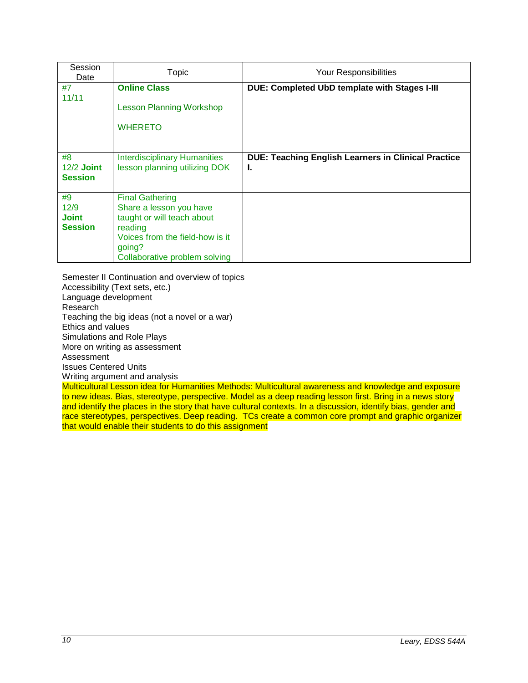| Session<br>Date                              | Topic                                                                                                                                                                    | Your Responsibilities                                            |  |  |
|----------------------------------------------|--------------------------------------------------------------------------------------------------------------------------------------------------------------------------|------------------------------------------------------------------|--|--|
| #7<br>11/11                                  | <b>Online Class</b>                                                                                                                                                      | DUE: Completed UbD template with Stages I-III                    |  |  |
|                                              | <b>Lesson Planning Workshop</b>                                                                                                                                          |                                                                  |  |  |
|                                              | <b>WHERETO</b>                                                                                                                                                           |                                                                  |  |  |
| #8<br>$12/2$ Joint<br><b>Session</b>         | <b>Interdisciplinary Humanities</b><br>lesson planning utilizing DOK                                                                                                     | <b>DUE: Teaching English Learners in Clinical Practice</b><br>L. |  |  |
| #9<br>12/9<br><b>Joint</b><br><b>Session</b> | <b>Final Gathering</b><br>Share a lesson you have<br>taught or will teach about<br>reading<br>Voices from the field-how is it<br>going?<br>Collaborative problem solving |                                                                  |  |  |

Semester II Continuation and overview of topics Accessibility (Text sets, etc.) Language development Research Teaching the big ideas (not a novel or a war) Ethics and values Simulations and Role Plays More on writing as assessment Assessment Issues Centered Units Writing argument and analysis

Multicultural Lesson idea for Humanities Methods: Multicultural awareness and knowledge and exposure to new ideas. Bias, stereotype, perspective. Model as a deep reading lesson first. Bring in a news story and identify the places in the story that have cultural contexts. In a discussion, identify bias, gender and race stereotypes, perspectives. Deep reading. TCs create a common core prompt and graphic organizer that would enable their students to do this assignment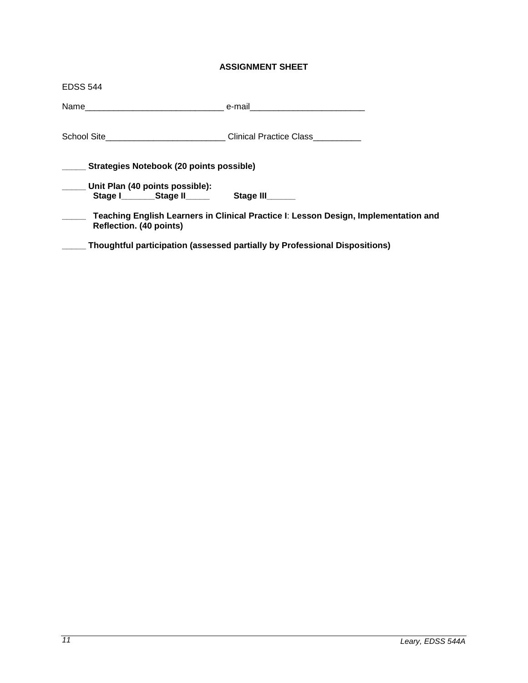# **ASSIGNMENT SHEET**

<span id="page-10-0"></span>

| <b>EDSS 544</b>                                                                  |                                                                                     |  |  |  |  |  |
|----------------------------------------------------------------------------------|-------------------------------------------------------------------------------------|--|--|--|--|--|
|                                                                                  |                                                                                     |  |  |  |  |  |
| School Site___________________________________Clinical Practice Class___________ |                                                                                     |  |  |  |  |  |
| Strategies Notebook (20 points possible)                                         |                                                                                     |  |  |  |  |  |
| Unit Plan (40 points possible):                                                  |                                                                                     |  |  |  |  |  |
| Stage I Stage II Stage III                                                       |                                                                                     |  |  |  |  |  |
| Reflection. (40 points)                                                          | Teaching English Learners in Clinical Practice I: Lesson Design, Implementation and |  |  |  |  |  |
|                                                                                  | Thoughtful participation (assessed partially by Professional Dispositions)          |  |  |  |  |  |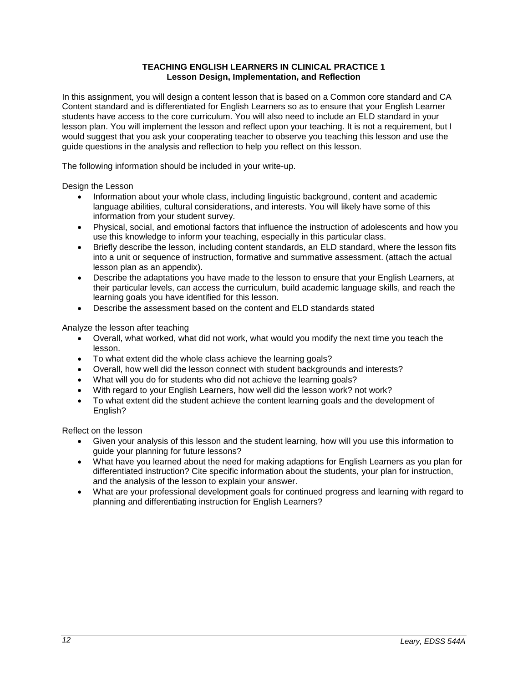# **TEACHING ENGLISH LEARNERS IN CLINICAL PRACTICE 1 Lesson Design, Implementation, and Reflection**

<span id="page-11-0"></span>In this assignment, you will design a content lesson that is based on a Common core standard and CA Content standard and is differentiated for English Learners so as to ensure that your English Learner students have access to the core curriculum. You will also need to include an ELD standard in your lesson plan. You will implement the lesson and reflect upon your teaching. It is not a requirement, but I would suggest that you ask your cooperating teacher to observe you teaching this lesson and use the guide questions in the analysis and reflection to help you reflect on this lesson.

The following information should be included in your write-up.

Design the Lesson

- Information about your whole class, including linguistic background, content and academic language abilities, cultural considerations, and interests. You will likely have some of this information from your student survey.
- Physical, social, and emotional factors that influence the instruction of adolescents and how you use this knowledge to inform your teaching, especially in this particular class.
- Briefly describe the lesson, including content standards, an ELD standard, where the lesson fits into a unit or sequence of instruction, formative and summative assessment. (attach the actual lesson plan as an appendix).
- Describe the adaptations you have made to the lesson to ensure that your English Learners, at their particular levels, can access the curriculum, build academic language skills, and reach the learning goals you have identified for this lesson.
- Describe the assessment based on the content and ELD standards stated

Analyze the lesson after teaching

- Overall, what worked, what did not work, what would you modify the next time you teach the lesson.
- To what extent did the whole class achieve the learning goals?
- Overall, how well did the lesson connect with student backgrounds and interests?
- What will you do for students who did not achieve the learning goals?
- With regard to your English Learners, how well did the lesson work? not work?
- To what extent did the student achieve the content learning goals and the development of English?

Reflect on the lesson

- Given your analysis of this lesson and the student learning, how will you use this information to guide your planning for future lessons?
- What have you learned about the need for making adaptions for English Learners as you plan for differentiated instruction? Cite specific information about the students, your plan for instruction, and the analysis of the lesson to explain your answer.
- What are your professional development goals for continued progress and learning with regard to planning and differentiating instruction for English Learners?